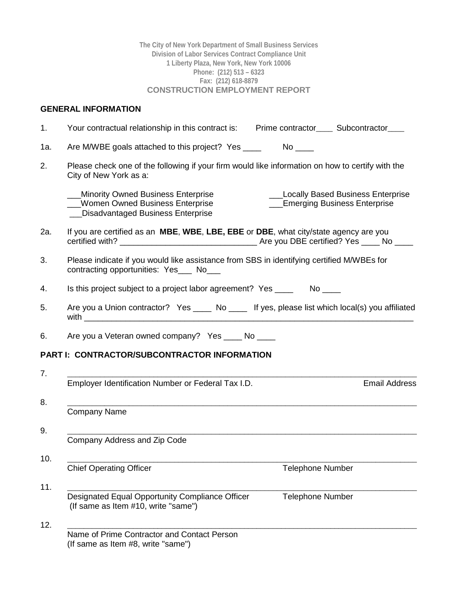**The City of New York Department of Small Business Services Division of Labor Services Contract Compliance Unit 1 Liberty Plaza, New York, New York 10006 Phone: (212) 513 – 6323 Fax: (212) 618-8879 CONSTRUCTION EMPLOYMENT REPORT**

# **GENERAL INFORMATION**

| Your contractual relationship in this contract is: Prime contractor_____ Subcontractor____                                                                                                         |
|----------------------------------------------------------------------------------------------------------------------------------------------------------------------------------------------------|
| Are M/WBE goals attached to this project? Yes ____                                                                                                                                                 |
| Please check one of the following if your firm would like information on how to certify with the<br>City of New York as a:                                                                         |
| <b>Minority Owned Business Enterprise</b><br><b>Locally Based Business Enterprise</b><br>___Women Owned Business Enterprise<br>__Emerging Business Enterprise<br>Disadvantaged Business Enterprise |
| If you are certified as an <b>MBE, WBE, LBE, EBE</b> or <b>DBE</b> , what city/state agency are you                                                                                                |
| Please indicate if you would like assistance from SBS in identifying certified M/WBEs for<br>contracting opportunities: Yes___ No___                                                               |
| Is this project subject to a project labor agreement? Yes _________ No _____                                                                                                                       |
| Are you a Union contractor? Yes _____ No _____ If yes, please list which local(s) you affiliated                                                                                                   |
| Are you a Veteran owned company? Yes _____ No ____                                                                                                                                                 |
| <b>PART I: CONTRACTOR/SUBCONTRACTOR INFORMATION</b>                                                                                                                                                |
|                                                                                                                                                                                                    |
| Employer Identification Number or Federal Tax I.D.<br><b>Email Address</b>                                                                                                                         |
| <b>Company Name</b>                                                                                                                                                                                |
|                                                                                                                                                                                                    |
| Company Address and Zip Code                                                                                                                                                                       |
| <b>Chief Operating Officer</b><br><b>Telephone Number</b>                                                                                                                                          |
| Designated Equal Opportunity Compliance Officer<br><b>Telephone Number</b><br>(If same as Item #10, write "same")                                                                                  |
| Name of Prime Contractor and Contact Person<br>(If same as Item #8, write "same")                                                                                                                  |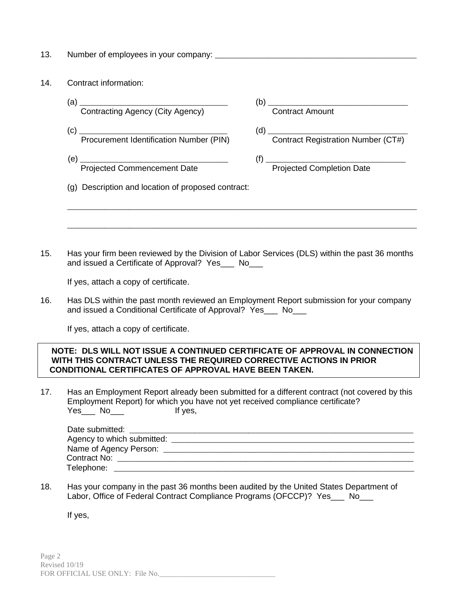- 13. Number of employees in your company: \_\_\_\_\_\_\_\_\_\_\_\_\_\_\_\_\_\_\_\_\_\_\_\_\_\_\_\_\_\_\_\_\_\_\_\_\_\_\_\_\_\_\_\_\_\_\_\_\_
- 14. Contract information:
- (a)  $\frac{1}{\text{Contractina Aqencv (Citv Aqencv)}}$  (b)  $\frac{1}{\text{Contract Amount}}$ Contracting Agency (City Agency) (c) \_\_\_\_\_\_\_\_\_\_\_\_\_\_\_\_\_\_\_\_\_\_\_\_\_\_\_\_\_\_\_\_\_\_\_\_ (d) \_\_\_\_\_\_\_\_\_\_\_\_\_\_\_\_\_\_\_\_\_\_\_\_\_\_\_\_\_\_\_\_\_\_ (d) Contract Registration Number (CT#) (e) \_\_\_\_\_\_\_\_\_\_\_\_\_\_\_\_\_\_\_\_\_\_\_\_\_\_\_\_\_\_\_\_\_\_\_\_ (f) \_\_\_\_\_\_\_\_\_\_\_\_\_\_\_\_\_\_\_\_\_\_\_\_\_\_\_\_\_\_\_\_\_\_ Projected Commencement Date **Projected Completion Date** (g) Description and location of proposed contract: \_\_\_\_\_\_\_\_\_\_\_\_\_\_\_\_\_\_\_\_\_\_\_\_\_\_\_\_\_\_\_\_\_\_\_\_\_\_\_\_\_\_\_\_\_\_\_\_\_\_\_\_\_\_\_\_\_\_\_\_\_\_\_\_\_\_\_\_\_\_\_\_\_\_\_\_\_\_\_\_\_\_\_\_\_

\_\_\_\_\_\_\_\_\_\_\_\_\_\_\_\_\_\_\_\_\_\_\_\_\_\_\_\_\_\_\_\_\_\_\_\_\_\_\_\_\_\_\_\_\_\_\_\_\_\_\_\_\_\_\_\_\_\_\_\_\_\_\_\_\_\_\_\_\_\_\_\_\_\_\_\_\_\_\_\_\_\_\_\_\_

15. Has your firm been reviewed by the Division of Labor Services (DLS) within the past 36 months and issued a Certificate of Approval? Yes\_\_\_ No\_\_\_

If yes, attach a copy of certificate.

16. Has DLS within the past month reviewed an Employment Report submission for your company and issued a Conditional Certificate of Approval? Yes No

If yes, attach a copy of certificate.

### **NOTE: DLS WILL NOT ISSUE A CONTINUED CERTIFICATE OF APPROVAL IN CONNECTION WITH THIS CONTRACT UNLESS THE REQUIRED CORRECTIVE ACTIONS IN PRIOR CONDITIONAL CERTIFICATES OF APPROVAL HAVE BEEN TAKEN.**

17. Has an Employment Report already been submitted for a different contract (not covered by this Employment Report) for which you have not yet received compliance certificate? Yes\_\_\_ No\_\_\_ lf yes,

| Date submitted:            |  |
|----------------------------|--|
| Agency to which submitted: |  |
|                            |  |
| Contract No:               |  |
| Telephone:                 |  |

18. Has your company in the past 36 months been audited by the United States Department of Labor, Office of Federal Contract Compliance Programs (OFCCP)? Yes\_\_\_ No\_\_\_

If yes,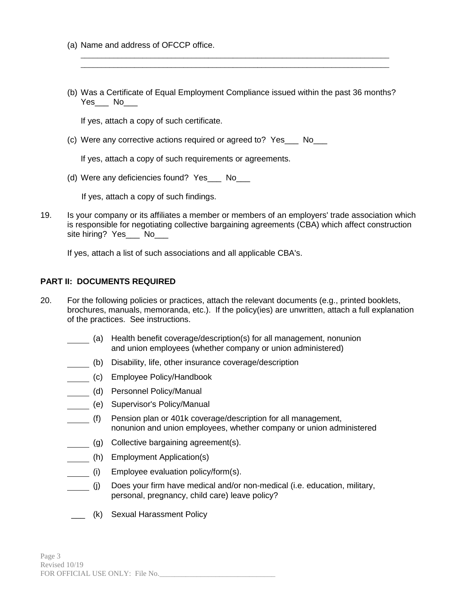- (a) Name and address of OFCCP office.
- (b) Was a Certificate of Equal Employment Compliance issued within the past 36 months? Yes\_\_\_ No

\_\_\_\_\_\_\_\_\_\_\_\_\_\_\_\_\_\_\_\_\_\_\_\_\_\_\_\_\_\_\_\_\_\_\_\_\_\_\_\_\_\_\_\_\_\_\_\_\_\_\_\_\_\_\_\_\_\_\_\_\_\_\_\_\_\_\_\_\_\_\_\_\_\_\_ \_\_\_\_\_\_\_\_\_\_\_\_\_\_\_\_\_\_\_\_\_\_\_\_\_\_\_\_\_\_\_\_\_\_\_\_\_\_\_\_\_\_\_\_\_\_\_\_\_\_\_\_\_\_\_\_\_\_\_\_\_\_\_\_\_\_\_\_\_\_\_\_\_\_\_

If yes, attach a copy of such certificate.

(c) Were any corrective actions required or agreed to? Yes\_\_\_ No\_\_\_

If yes, attach a copy of such requirements or agreements.

(d) Were any deficiencies found? Yes No

If yes, attach a copy of such findings.

19. Is your company or its affiliates a member or members of an employers' trade association which is responsible for negotiating collective bargaining agreements (CBA) which affect construction site hiring? Yes\_\_\_\_ No

If yes, attach a list of such associations and all applicable CBA's.

#### **PART II: DOCUMENTS REQUIRED**

- 20. For the following policies or practices, attach the relevant documents (e.g., printed booklets, brochures, manuals, memoranda, etc.). If the policy(ies) are unwritten, attach a full explanation of the practices. See instructions.
	- (a) Health benefit coverage/description(s) for all management, nonunion and union employees (whether company or union administered)
	- (b) Disability, life, other insurance coverage/description
	- (c) Employee Policy/Handbook
	- (d) Personnel Policy/Manual
	- (e) Supervisor's Policy/Manual
	- (f) Pension plan or 401k coverage/description for all management, nonunion and union employees, whether company or union administered
	- (g) Collective bargaining agreement(s).
	- (h) Employment Application(s)
	- (i) Employee evaluation policy/form(s).
	- (j) Does your firm have medical and/or non-medical (i.e. education, military, personal, pregnancy, child care) leave policy?
	- \_\_\_ (k) Sexual Harassment Policy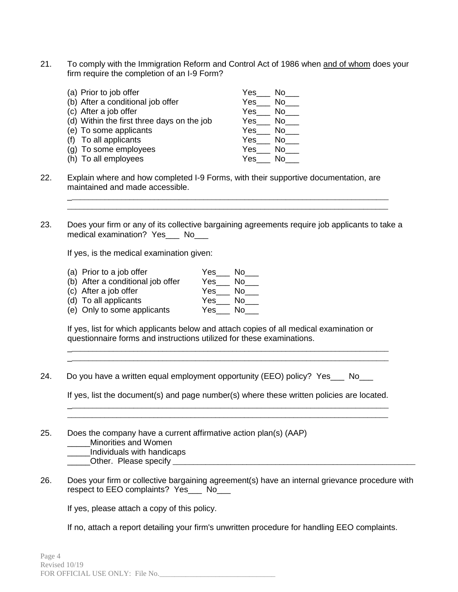21. To comply with the Immigration Reform and Control Act of 1986 when and of whom does your firm require the completion of an I-9 Form?

| (a) Prior to job offer                     | Yes<br>No. |
|--------------------------------------------|------------|
| (b) After a conditional job offer          | Yes<br>No  |
| (c) After a job offer                      | Yes<br>No  |
| (d) Within the first three days on the job | Yes<br>No  |
| (e) To some applicants                     | Yes<br>No  |
| To all applicants                          | Yes<br>No  |
| (g) To some employees                      | Yes<br>No  |
| (h) To all employees                       | Yes<br>N٥  |

- 22. Explain where and how completed I-9 Forms, with their supportive documentation, are maintained and made accessible.
- 23. Does your firm or any of its collective bargaining agreements require job applicants to take a medical examination? Yes\_\_\_ No\_\_\_

\_\_\_\_\_\_\_\_\_\_\_\_\_\_\_\_\_\_\_\_\_\_\_\_\_\_\_\_\_\_\_\_\_\_\_\_\_\_\_\_\_\_\_\_\_\_\_\_\_\_\_\_\_\_\_\_\_\_\_\_\_\_\_\_\_\_\_\_\_\_\_\_\_\_\_\_\_\_ \_\_\_\_\_\_\_\_\_\_\_\_\_\_\_\_\_\_\_\_\_\_\_\_\_\_\_\_\_\_\_\_\_\_\_\_\_\_\_\_\_\_\_\_\_\_\_\_\_\_\_\_\_\_\_\_\_\_\_\_\_\_\_\_\_\_\_\_\_\_\_\_\_\_\_\_\_\_

If yes, is the medical examination given:

(a) Prior to a job offer  $Yes$  No\_\_\_ (b) After a conditional job offer Yes\_\_\_ No\_\_\_ (c) After a job offer  $\hspace{1.6cm} \text{Yes} \_\text{NS}$  No $\_\text{NS}$ (d) To all applicants  $\begin{array}{ccc} \textsf{Yes} & \textsf{No} \end{array}$ (e) Only to some applicants Yes\_\_\_ No\_\_\_

If yes, list for which applicants below and attach copies of all medical examination or questionnaire forms and instructions utilized for these examinations.

24. Do you have a written equal employment opportunity (EEO) policy? Yes No

If yes, list the document(s) and page number(s) where these written policies are located. \_\_\_\_\_\_\_\_\_\_\_\_\_\_\_\_\_\_\_\_\_\_\_\_\_\_\_\_\_\_\_\_\_\_\_\_\_\_\_\_\_\_\_\_\_\_\_\_\_\_\_\_\_\_\_\_\_\_\_\_\_\_\_\_\_\_\_\_\_\_\_\_\_\_\_\_\_\_

\_\_\_\_\_\_\_\_\_\_\_\_\_\_\_\_\_\_\_\_\_\_\_\_\_\_\_\_\_\_\_\_\_\_\_\_\_\_\_\_\_\_\_\_\_\_\_\_\_\_\_\_\_\_\_\_\_\_\_\_\_\_\_\_\_\_\_\_\_\_\_\_\_\_\_\_\_\_

\_\_\_\_\_\_\_\_\_\_\_\_\_\_\_\_\_\_\_\_\_\_\_\_\_\_\_\_\_\_\_\_\_\_\_\_\_\_\_\_\_\_\_\_\_\_\_\_\_\_\_\_\_\_\_\_\_\_\_\_\_\_\_\_\_\_\_\_\_\_\_\_\_\_\_\_\_\_ \_\_\_\_\_\_\_\_\_\_\_\_\_\_\_\_\_\_\_\_\_\_\_\_\_\_\_\_\_\_\_\_\_\_\_\_\_\_\_\_\_\_\_\_\_\_\_\_\_\_\_\_\_\_\_\_\_\_\_\_\_\_\_\_\_\_\_\_\_\_\_\_\_\_\_\_\_\_

25. Does the company have a current affirmative action plan(s) (AAP) \_\_\_\_\_Minorities and Women

\_\_\_\_\_Individuals with handicaps

\_\_\_\_\_Other. Please specify \_\_\_\_\_\_\_\_\_\_\_\_\_\_\_\_\_\_\_\_\_\_\_\_\_\_\_\_\_\_\_\_\_\_\_\_\_\_\_\_\_\_\_\_\_\_\_\_\_\_\_\_\_\_\_\_\_\_\_

26. Does your firm or collective bargaining agreement(s) have an internal grievance procedure with respect to EEO complaints? Yes\_\_\_ No\_\_\_

If yes, please attach a copy of this policy.

If no, attach a report detailing your firm's unwritten procedure for handling EEO complaints.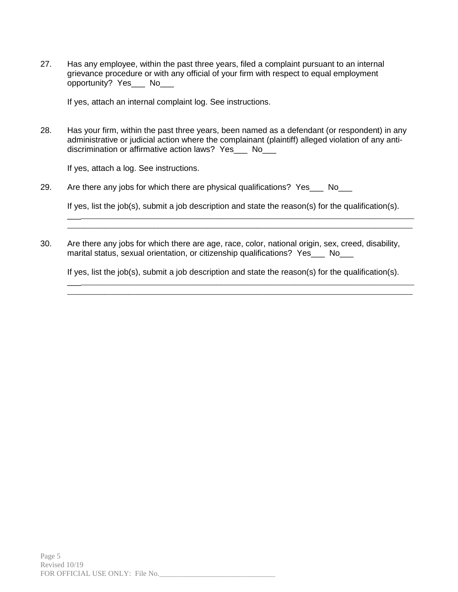27. Has any employee, within the past three years, filed a complaint pursuant to an internal grievance procedure or with any official of your firm with respect to equal employment opportunity? Yes No

If yes, attach an internal complaint log. See instructions.

28. Has your firm, within the past three years, been named as a defendant (or respondent) in any administrative or judicial action where the complainant (plaintiff) alleged violation of any antidiscrimination or affirmative action laws? Yes No

If yes, attach a log. See instructions.

29. Are there any jobs for which there are physical qualifications? Yes No

If yes, list the job(s), submit a job description and state the reason(s) for the qualification(s).

\_\_\_\_\_\_\_\_\_\_\_\_\_\_\_\_\_\_\_\_\_\_\_\_\_\_\_\_\_\_\_\_\_\_\_\_\_\_\_\_\_\_\_\_\_\_\_\_\_\_\_\_\_\_\_\_\_\_\_\_\_\_\_\_\_\_\_\_\_\_\_\_\_\_\_\_\_\_\_\_\_\_\_\_ \_\_\_\_\_\_\_\_\_\_\_\_\_\_\_\_\_\_\_\_\_\_\_\_\_\_\_\_\_\_\_\_\_\_\_\_\_\_\_\_\_\_\_\_\_\_\_\_\_\_\_\_\_\_\_\_\_\_\_\_\_\_\_\_\_\_\_\_\_\_\_\_\_\_\_\_\_\_\_\_\_\_\_\_

30. Are there any jobs for which there are age, race, color, national origin, sex, creed, disability, marital status, sexual orientation, or citizenship qualifications? Yes\_\_\_ No\_\_\_

If yes, list the job(s), submit a job description and state the reason(s) for the qualification(s).

\_\_\_\_\_\_\_\_\_\_\_\_\_\_\_\_\_\_\_\_\_\_\_\_\_\_\_\_\_\_\_\_\_\_\_\_\_\_\_\_\_\_\_\_\_\_\_\_\_\_\_\_\_\_\_\_\_\_\_\_\_\_\_\_\_\_\_\_\_\_\_\_\_\_\_\_\_\_\_\_\_\_\_\_ \_\_\_\_\_\_\_\_\_\_\_\_\_\_\_\_\_\_\_\_\_\_\_\_\_\_\_\_\_\_\_\_\_\_\_\_\_\_\_\_\_\_\_\_\_\_\_\_\_\_\_\_\_\_\_\_\_\_\_\_\_\_\_\_\_\_\_\_\_\_\_\_\_\_\_\_\_\_\_\_\_\_\_\_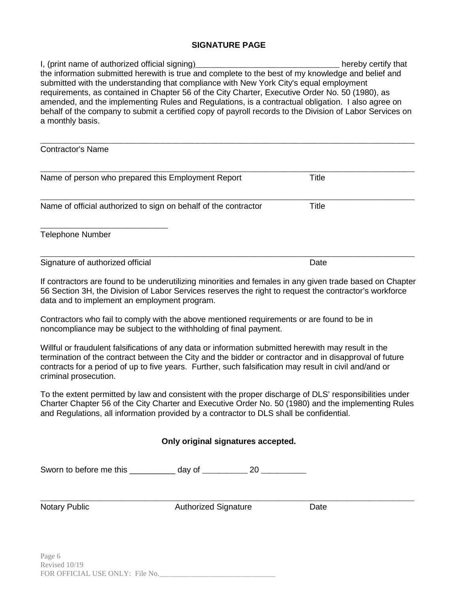#### **SIGNATURE PAGE**

I, (print name of authorized official signing)\_\_\_\_\_\_\_\_\_\_\_\_\_\_\_\_\_\_\_\_\_\_\_\_\_\_\_\_\_\_\_\_\_\_\_ hereby certify that the information submitted herewith is true and complete to the best of my knowledge and belief and submitted with the understanding that compliance with New York City's equal employment requirements, as contained in Chapter 56 of the City Charter, Executive Order No. 50 (1980), as amended, and the implementing Rules and Regulations, is a contractual obligation. I also agree on behalf of the company to submit a certified copy of payroll records to the Division of Labor Services on a monthly basis.

| <b>Contractor's Name</b>                                        |       |  |
|-----------------------------------------------------------------|-------|--|
| Name of person who prepared this Employment Report              | Title |  |
| Name of official authorized to sign on behalf of the contractor | Title |  |
| <b>Telephone Number</b>                                         |       |  |
| Signature of authorized official                                | Date  |  |

If contractors are found to be underutilizing minorities and females in any given trade based on Chapter 56 Section 3H, the Division of Labor Services reserves the right to request the contractor's workforce data and to implement an employment program.

Contractors who fail to comply with the above mentioned requirements or are found to be in noncompliance may be subject to the withholding of final payment.

Willful or fraudulent falsifications of any data or information submitted herewith may result in the termination of the contract between the City and the bidder or contractor and in disapproval of future contracts for a period of up to five years. Further, such falsification may result in civil and/and or criminal prosecution.

To the extent permitted by law and consistent with the proper discharge of DLS' responsibilities under Charter Chapter 56 of the City Charter and Executive Order No. 50 (1980) and the implementing Rules and Regulations, all information provided by a contractor to DLS shall be confidential.

#### **Only original signatures accepted.**

Sworn to before me this \_\_\_\_\_\_\_\_\_\_ day of \_\_\_\_\_\_\_\_\_\_ 20 \_\_\_\_\_\_\_\_\_\_

\_\_\_\_\_\_\_\_\_\_\_\_\_\_\_\_\_\_\_\_\_\_\_\_\_\_\_\_\_\_\_\_\_\_\_\_\_\_\_\_\_\_\_\_\_\_\_\_\_\_\_\_\_\_\_\_\_\_\_\_\_\_\_\_\_\_\_\_\_\_\_\_\_\_\_\_\_\_\_\_\_\_\_\_\_\_\_\_\_\_\_\_\_\_\_\_\_\_\_\_ Notary Public **Notary Public Authorized Signature** Date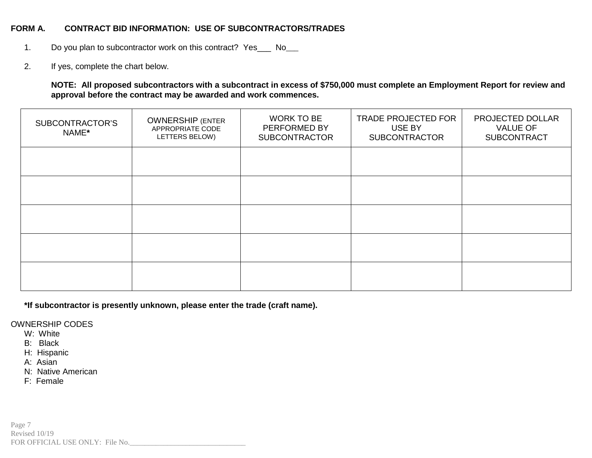#### **FORM A. CONTRACT BID INFORMATION: USE OF SUBCONTRACTORS/TRADES**

- 1. Do you plan to subcontractor work on this contract? Yes \_\_\_ No\_\_\_
- 2. If yes, complete the chart below.

#### **NOTE: All proposed subcontractors with a subcontract in excess of \$750,000 must complete an Employment Report for review and approval before the contract may be awarded and work commences.**

| SUBCONTRACTOR'S<br>NAME* | <b>OWNERSHIP (ENTER</b><br>APPROPRIATE CODE<br>LETTERS BELOW) | <b>WORK TO BE</b><br>PERFORMED BY<br><b>SUBCONTRACTOR</b> | <b>TRADE PROJECTED FOR</b><br>USE BY<br><b>SUBCONTRACTOR</b> | PROJECTED DOLLAR<br><b>VALUE OF</b><br><b>SUBCONTRACT</b> |  |  |
|--------------------------|---------------------------------------------------------------|-----------------------------------------------------------|--------------------------------------------------------------|-----------------------------------------------------------|--|--|
|                          |                                                               |                                                           |                                                              |                                                           |  |  |
|                          |                                                               |                                                           |                                                              |                                                           |  |  |
|                          |                                                               |                                                           |                                                              |                                                           |  |  |
|                          |                                                               |                                                           |                                                              |                                                           |  |  |
|                          |                                                               |                                                           |                                                              |                                                           |  |  |

**\*If subcontractor is presently unknown, please enter the trade (craft name).**

OWNERSHIP CODES

- W: White
- B: Black
- H: Hispanic
- A: Asian
- N: Native American
- F: Female

Page 7 Revised 10/19 FOR OFFICIAL USE ONLY: File No.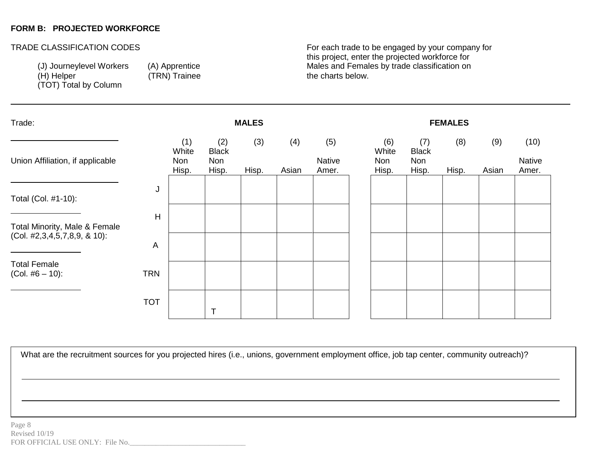### **FORM B: PROJECTED WORKFORCE**

-

(TOT) Total by Column

(TRN) Trainee

TRADE CLASSIFICATION CODES **For each trade to be engaged by your company for** this project, enter the projected workforce for (J) Journeylevel Workers (A) Apprentice Males and Females by trade classification on (H) Helper (H) Helper

| Trade:                                                           | <b>MALES</b>   |                              |                                     |              |              | <b>FEMALES</b>         |  |                                     |                                     |              |              |                         |
|------------------------------------------------------------------|----------------|------------------------------|-------------------------------------|--------------|--------------|------------------------|--|-------------------------------------|-------------------------------------|--------------|--------------|-------------------------|
| Union Affiliation, if applicable                                 |                | (1)<br>White<br>Non<br>Hisp. | (2)<br><b>Black</b><br>Non<br>Hisp. | (3)<br>Hisp. | (4)<br>Asian | (5)<br>Native<br>Amer. |  | (6)<br>White<br><b>Non</b><br>Hisp. | (7)<br><b>Black</b><br>Non<br>Hisp. | (8)<br>Hisp. | (9)<br>Asian | (10)<br>Native<br>Amer. |
| Total (Col. #1-10):                                              | J              |                              |                                     |              |              |                        |  |                                     |                                     |              |              |                         |
| Total Minority, Male & Female<br>$(Col. 42,3,4,5,7,8,9, 8,10)$ : | $\overline{H}$ |                              |                                     |              |              |                        |  |                                     |                                     |              |              |                         |
| <b>Total Female</b>                                              | A              |                              |                                     |              |              |                        |  |                                     |                                     |              |              |                         |
| $(Col. #6 – 10)$ :                                               | <b>TRN</b>     |                              |                                     |              |              |                        |  |                                     |                                     |              |              |                         |
|                                                                  | <b>TOT</b>     |                              |                                     |              |              |                        |  |                                     |                                     |              |              |                         |

What are the recruitment sources for you projected hires (i.e., unions, government employment office, job tap center, community outreach)?

employment office, job tap center,

community of the community of the community of the community of the community of the community of the community

What are the recruitment sources for your control of your control of your control of your control of your control of your control of your control of your control of your control of your control of your control of your cont projected hires (i.e., unions, government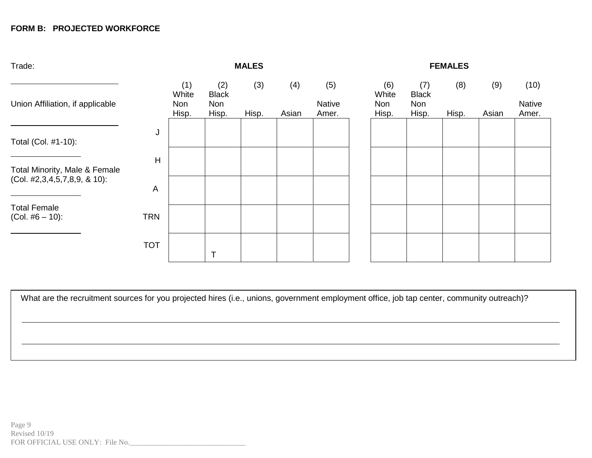# **FORM B: PROJECTED WORKFORCE**

| Trade:                                    |            | <b>MALES</b>                 |                                            |              |              |                               |  | <b>FEMALES</b>                      |                                     |              |              |                         |  |  |
|-------------------------------------------|------------|------------------------------|--------------------------------------------|--------------|--------------|-------------------------------|--|-------------------------------------|-------------------------------------|--------------|--------------|-------------------------|--|--|
| Union Affiliation, if applicable          |            | (1)<br>White<br>Non<br>Hisp. | (2)<br><b>Black</b><br><b>Non</b><br>Hisp. | (3)<br>Hisp. | (4)<br>Asian | (5)<br><b>Native</b><br>Amer. |  | (6)<br>White<br><b>Non</b><br>Hisp. | (7)<br><b>Black</b><br>Non<br>Hisp. | (8)<br>Hisp. | (9)<br>Asian | (10)<br>Native<br>Amer. |  |  |
| Total (Col. #1-10):                       | J          |                              |                                            |              |              |                               |  |                                     |                                     |              |              |                         |  |  |
| Total Minority, Male & Female             | H          |                              |                                            |              |              |                               |  |                                     |                                     |              |              |                         |  |  |
| (Col. #2,3,4,5,7,8,9, & 10):              | A          |                              |                                            |              |              |                               |  |                                     |                                     |              |              |                         |  |  |
| <b>Total Female</b><br>$(Col. #6 – 10)$ : | <b>TRN</b> |                              |                                            |              |              |                               |  |                                     |                                     |              |              |                         |  |  |
|                                           | <b>TOT</b> |                              |                                            |              |              |                               |  |                                     |                                     |              |              |                         |  |  |

What are the recruitment sources for you projected hires (i.e., unions, government employment office, job tap center, community outreach)?

What are the recruitment sources for your control of your control of your control of your control of your control of your control of your control of your control of your control of your control of your control of your cont projected hires (i.e., unions, government

employment office, job tap center,

community of the community of the community of the community of the community of the community of the community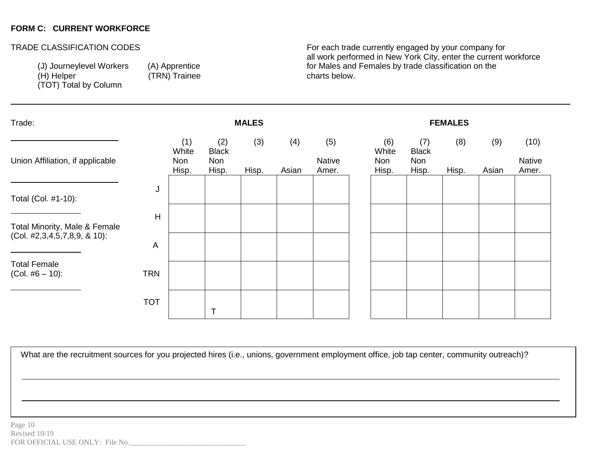### **FORM C: CURRENT WORKFORCE**

-

(TOT) Total by Column

(TRN) Trainee

TRADE CLASSIFICATION CODES **For each trade currently engaged by your company for** all work performed in New York City, enter the current workforce (J) Journeylevel Workers (A) Apprentice for Males and Females by trade classification on the (H) Helper (H) Helper

| Trade:<br><b>MALES</b>                    |            |                              |                                     |              | <b>FEMALES</b> |                               |  |                              |                                     |              |              |                                |
|-------------------------------------------|------------|------------------------------|-------------------------------------|--------------|----------------|-------------------------------|--|------------------------------|-------------------------------------|--------------|--------------|--------------------------------|
| Union Affiliation, if applicable          |            | (1)<br>White<br>Non<br>Hisp. | (2)<br><b>Black</b><br>Non<br>Hisp. | (3)<br>Hisp. | (4)<br>Asian   | (5)<br><b>Native</b><br>Amer. |  | (6)<br>White<br>Non<br>Hisp. | (7)<br><b>Black</b><br>Non<br>Hisp. | (8)<br>Hisp. | (9)<br>Asian | (10)<br><b>Native</b><br>Amer. |
| Total (Col. #1-10):                       | J          |                              |                                     |              |                |                               |  |                              |                                     |              |              |                                |
| Total Minority, Male & Female             | H          |                              |                                     |              |                |                               |  |                              |                                     |              |              |                                |
| $(Col. 42,3,4,5,7,8,9, 8,10)$ :           | A          |                              |                                     |              |                |                               |  |                              |                                     |              |              |                                |
| <b>Total Female</b><br>$(Col. #6 – 10)$ : | <b>TRN</b> |                              |                                     |              |                |                               |  |                              |                                     |              |              |                                |
|                                           | <b>TOT</b> |                              |                                     |              |                |                               |  |                              |                                     |              |              |                                |

What are the recruitment sources for you projected hires (i.e., unions, government employment office, job tap center, community outreach)?

employment office, job tap center,

community of the community of the community of the community of the community of the community of the community

What are the recruitment sources for your control of your control of your control of your control of your control of your control of your control of your control of your control of your control of your control of your cont projected hires (i.e., unions, government